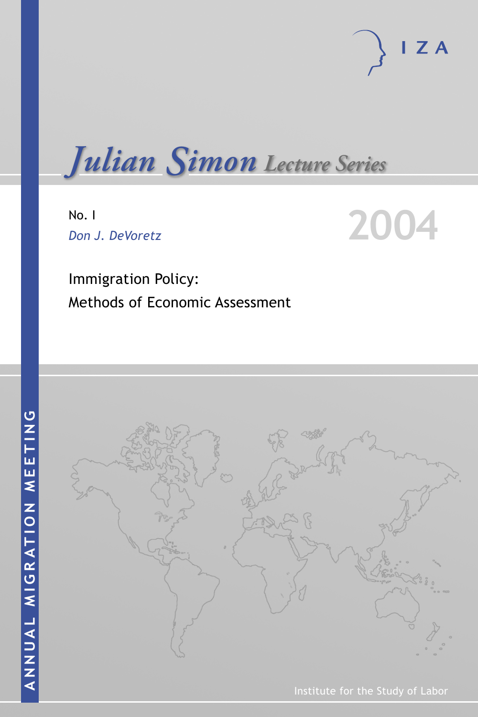

*Julian Simon Lecture Series*

No. I *Don J. DeVoretz* **2004**



Immigration Policy: Methods of Economic Assessment



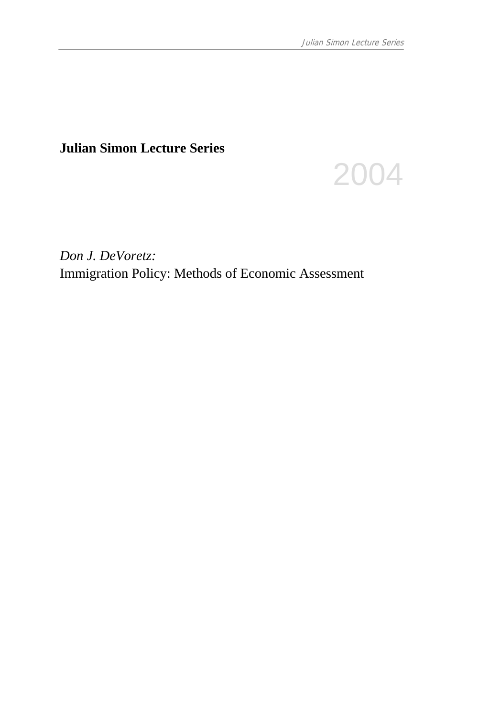# **Julian Simon Lecture Series**



*Don J. DeVoretz:*  Immigration Policy: Methods of Economic Assessment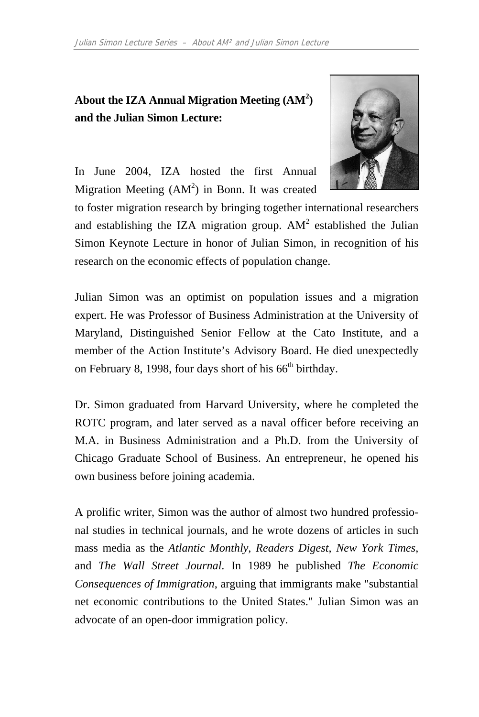# About the IZA Annual Migration Meeting (AM<sup>2</sup>) **and the Julian Simon Lecture:**



In June 2004, IZA hosted the first Annual Migration Meeting  $(AM^2)$  in Bonn. It was created

to foster migration research by bringing together international researchers and establishing the IZA migration group.  $AM^2$  established the Julian Simon Keynote Lecture in honor of Julian Simon, in recognition of his research on the economic effects of population change.

Julian Simon was an optimist on population issues and a migration expert. He was Professor of Business Administration at the University of Maryland, Distinguished Senior Fellow at the Cato Institute, and a member of the Action Institute's Advisory Board. He died unexpectedly on February 8, 1998, four days short of his  $66<sup>th</sup>$  birthday.

Dr. Simon graduated from Harvard University, where he completed the ROTC program, and later served as a naval officer before receiving an M.A. in Business Administration and a Ph.D. from the University of Chicago Graduate School of Business. An entrepreneur, he opened his own business before joining academia.

A prolific writer, Simon was the author of almost two hundred professional studies in technical journals, and he wrote dozens of articles in such mass media as the *Atlantic Monthly*, *Readers Digest*, *New York Times*, and *The Wall Street Journal*. In 1989 he published *The Economic Consequences of Immigration*, arguing that immigrants make "substantial net economic contributions to the United States." Julian Simon was an advocate of an open-door immigration policy.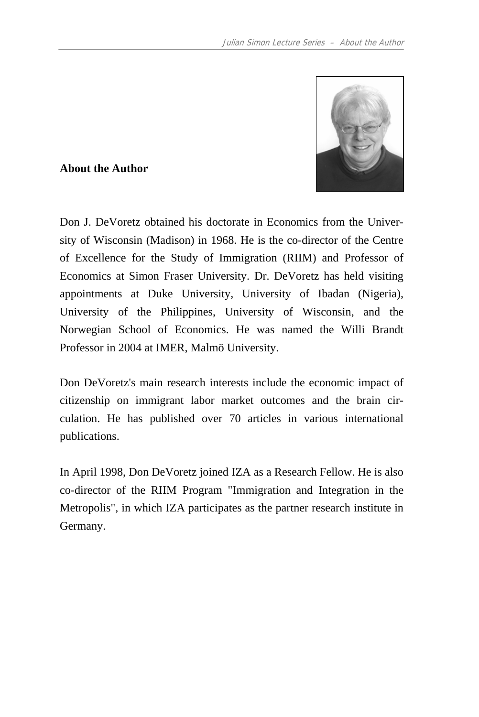

#### **About the Author**

Don J. DeVoretz obtained his doctorate in Economics from the University of Wisconsin (Madison) in 1968. He is the co-director of the Centre of Excellence for the Study of Immigration (RIIM) and Professor of Economics at Simon Fraser University. Dr. DeVoretz has held visiting appointments at Duke University, University of Ibadan (Nigeria), University of the Philippines, University of Wisconsin, and the Norwegian School of Economics. He was named the Willi Brandt Professor in 2004 at IMER, Malmö University.

Don DeVoretz's main research interests include the economic impact of citizenship on immigrant labor market outcomes and the brain circulation. He has published over 70 articles in various international publications.

In April 1998, Don DeVoretz joined IZA as a Research Fellow. He is also co-director of the RIIM Program "Immigration and Integration in the Metropolis", in which IZA participates as the partner research institute in Germany.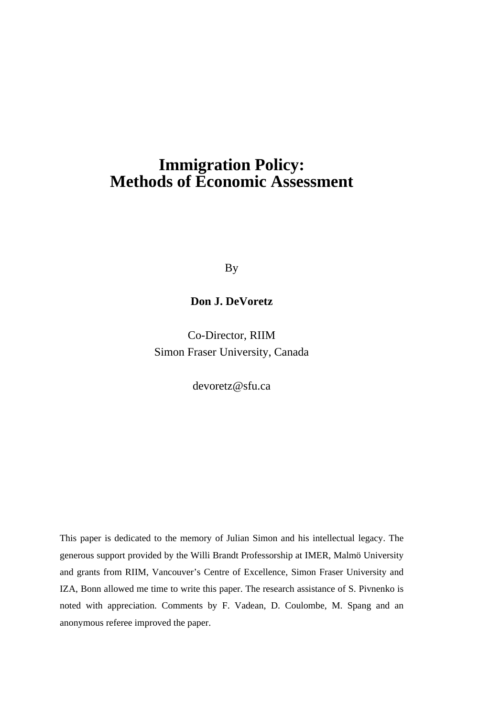# **Immigration Policy: Methods of Economic Assessment**

By

#### **Don J. DeVoretz**

Co-Director, RIIM Simon Fraser University, Canada

devoretz@sfu.ca

This paper is dedicated to the memory of Julian Simon and his intellectual legacy. The generous support provided by the Willi Brandt Professorship at IMER, Malmö University and grants from RIIM, Vancouver's Centre of Excellence, Simon Fraser University and IZA, Bonn allowed me time to write this paper. The research assistance of S. Pivnenko is noted with appreciation. Comments by F. Vadean, D. Coulombe, M. Spang and an anonymous referee improved the paper.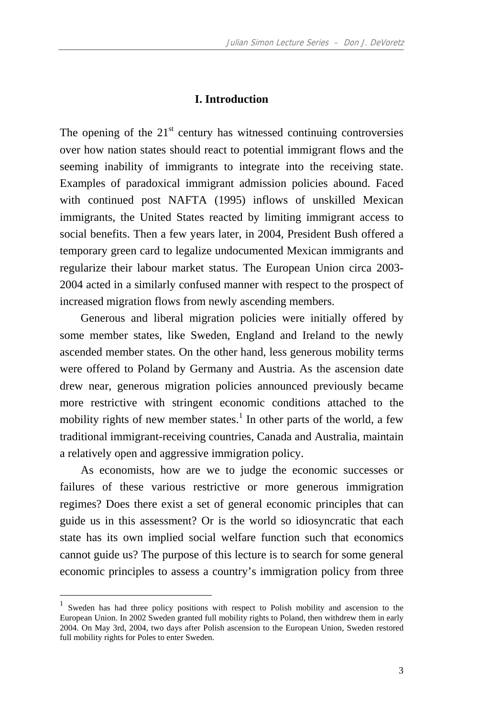#### **I. Introduction**

The opening of the  $21<sup>st</sup>$  century has witnessed continuing controversies over how nation states should react to potential immigrant flows and the seeming inability of immigrants to integrate into the receiving state. Examples of paradoxical immigrant admission policies abound. Faced with continued post NAFTA (1995) inflows of unskilled Mexican immigrants, the United States reacted by limiting immigrant access to social benefits. Then a few years later, in 2004, President Bush offered a temporary green card to legalize undocumented Mexican immigrants and regularize their labour market status. The European Union circa 2003- 2004 acted in a similarly confused manner with respect to the prospect of increased migration flows from newly ascending members.

Generous and liberal migration policies were initially offered by some member states, like Sweden, England and Ireland to the newly ascended member states. On the other hand, less generous mobility terms were offered to Poland by Germany and Austria. As the ascension date drew near, generous migration policies announced previously became more restrictive with stringent economic conditions attached to the mobility rights of new member states.<sup>1</sup> In other parts of the world, a few traditional immigrant-receiving countries, Canada and Australia, maintain a relatively open and aggressive immigration policy.

As economists, how are we to judge the economic successes or failures of these various restrictive or more generous immigration regimes? Does there exist a set of general economic principles that can guide us in this assessment? Or is the world so idiosyncratic that each state has its own implied social welfare function such that economics cannot guide us? The purpose of this lecture is to search for some general economic principles to assess a country's immigration policy from three

<sup>1</sup> Sweden has had three policy positions with respect to Polish mobility and ascension to the European Union. In 2002 Sweden granted full mobility rights to Poland, then withdrew them in early 2004. On May 3rd, 2004, two days after Polish ascension to the European Union, Sweden restored full mobility rights for Poles to enter Sweden.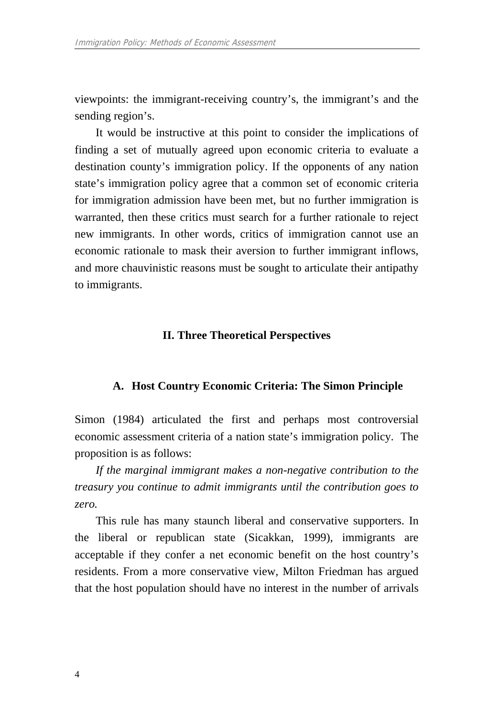viewpoints: the immigrant-receiving country's, the immigrant's and the sending region's.

It would be instructive at this point to consider the implications of finding a set of mutually agreed upon economic criteria to evaluate a destination county's immigration policy. If the opponents of any nation state's immigration policy agree that a common set of economic criteria for immigration admission have been met, but no further immigration is warranted, then these critics must search for a further rationale to reject new immigrants. In other words, critics of immigration cannot use an economic rationale to mask their aversion to further immigrant inflows, and more chauvinistic reasons must be sought to articulate their antipathy to immigrants.

#### **II. Three Theoretical Perspectives**

#### **A. Host Country Economic Criteria: The Simon Principle**

Simon (1984) articulated the first and perhaps most controversial economic assessment criteria of a nation state's immigration policy. The proposition is as follows:

*If the marginal immigrant makes a non-negative contribution to the treasury you continue to admit immigrants until the contribution goes to zero.* 

This rule has many staunch liberal and conservative supporters. In the liberal or republican state (Sicakkan, 1999), immigrants are acceptable if they confer a net economic benefit on the host country's residents. From a more conservative view, Milton Friedman has argued that the host population should have no interest in the number of arrivals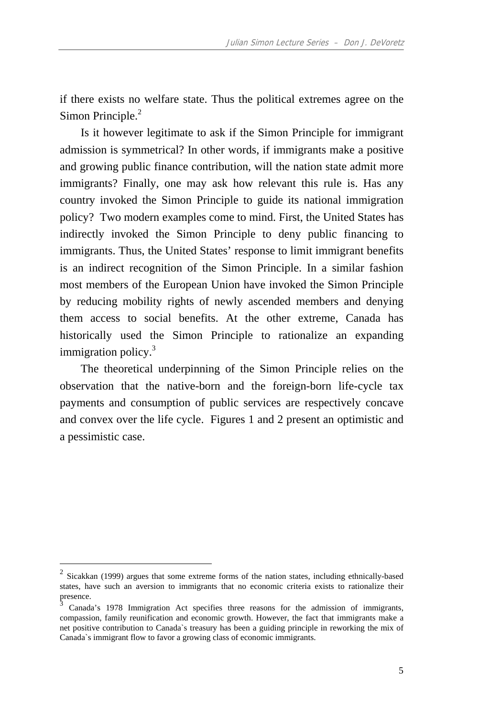if there exists no welfare state. Thus the political extremes agree on the Simon Principle.<sup>2</sup>

Is it however legitimate to ask if the Simon Principle for immigrant admission is symmetrical? In other words, if immigrants make a positive and growing public finance contribution, will the nation state admit more immigrants? Finally, one may ask how relevant this rule is. Has any country invoked the Simon Principle to guide its national immigration policy? Two modern examples come to mind. First, the United States has indirectly invoked the Simon Principle to deny public financing to immigrants. Thus, the United States' response to limit immigrant benefits is an indirect recognition of the Simon Principle. In a similar fashion most members of the European Union have invoked the Simon Principle by reducing mobility rights of newly ascended members and denying them access to social benefits. At the other extreme, Canada has historically used the Simon Principle to rationalize an expanding immigration policy.<sup>3</sup>

The theoretical underpinning of the Simon Principle relies on the observation that the native-born and the foreign-born life-cycle tax payments and consumption of public services are respectively concave and convex over the life cycle. Figures 1 and 2 present an optimistic and a pessimistic case.

 $2$  Sicakkan (1999) argues that some extreme forms of the nation states, including ethnically-based states, have such an aversion to immigrants that no economic criteria exists to rationalize their presence.

<sup>3</sup> Canada's 1978 Immigration Act specifies three reasons for the admission of immigrants, compassion, family reunification and economic growth. However, the fact that immigrants make a net positive contribution to Canada`s treasury has been a guiding principle in reworking the mix of Canada`s immigrant flow to favor a growing class of economic immigrants.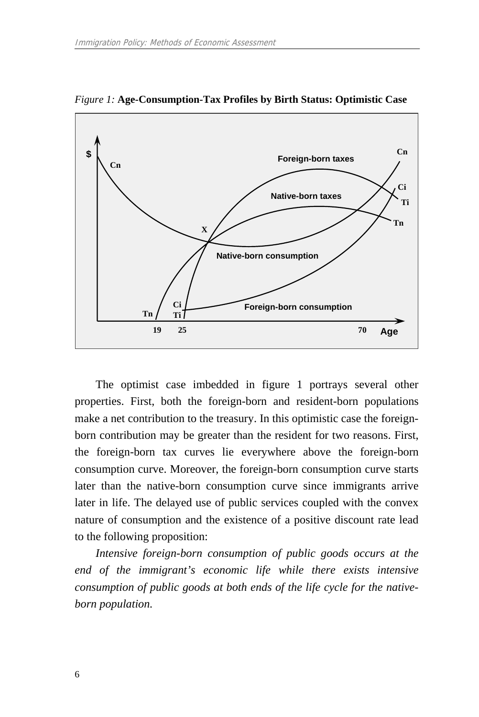

*Figure 1:* **Age-Consumption-Tax Profiles by Birth Status: Optimistic Case** 

The optimist case imbedded in figure 1 portrays several other properties. First, both the foreign-born and resident-born populations make a net contribution to the treasury. In this optimistic case the foreignborn contribution may be greater than the resident for two reasons. First, the foreign-born tax curves lie everywhere above the foreign-born consumption curve. Moreover, the foreign-born consumption curve starts later than the native-born consumption curve since immigrants arrive later in life. The delayed use of public services coupled with the convex nature of consumption and the existence of a positive discount rate lead to the following proposition:

*Intensive foreign-born consumption of public goods occurs at the end of the immigrant's economic life while there exists intensive consumption of public goods at both ends of the life cycle for the nativeborn population.*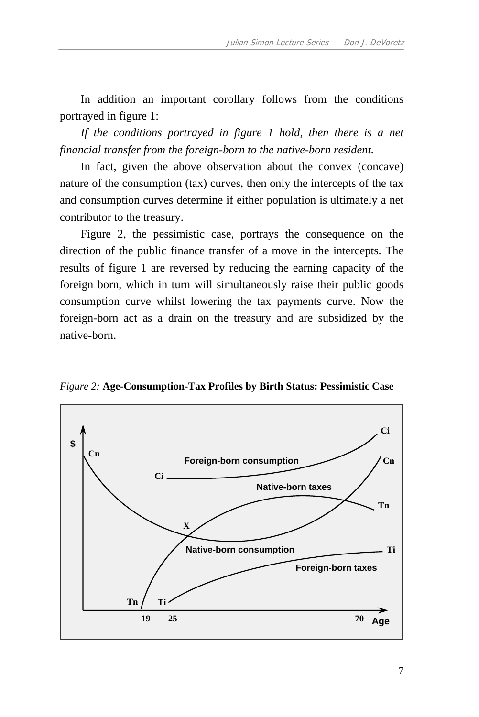In addition an important corollary follows from the conditions portrayed in figure 1:

*If the conditions portrayed in figure 1 hold, then there is a net financial transfer from the foreign-born to the native-born resident.* 

In fact, given the above observation about the convex (concave) nature of the consumption (tax) curves, then only the intercepts of the tax and consumption curves determine if either population is ultimately a net contributor to the treasury.

Figure 2, the pessimistic case, portrays the consequence on the direction of the public finance transfer of a move in the intercepts. The results of figure 1 are reversed by reducing the earning capacity of the foreign born, which in turn will simultaneously raise their public goods consumption curve whilst lowering the tax payments curve. Now the foreign-born act as a drain on the treasury and are subsidized by the native-born.

*Figure 2:* **Age-Consumption-Tax Profiles by Birth Status: Pessimistic Case** 

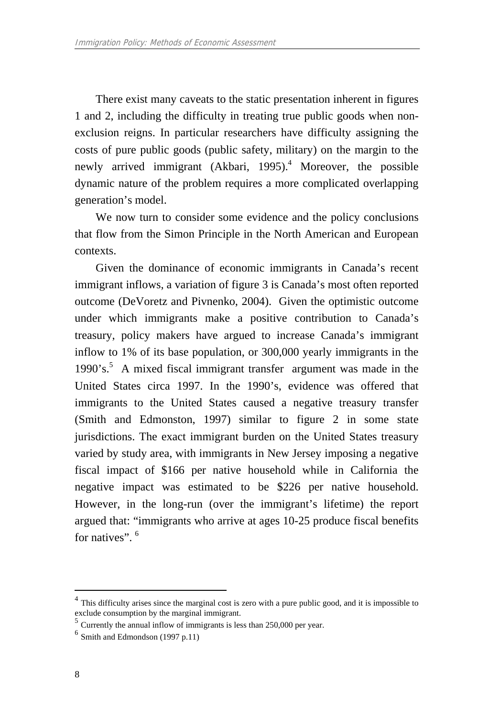There exist many caveats to the static presentation inherent in figures 1 and 2, including the difficulty in treating true public goods when nonexclusion reigns. In particular researchers have difficulty assigning the costs of pure public goods (public safety, military) on the margin to the newly arrived immigrant (Akbari, 1995).<sup>4</sup> Moreover, the possible dynamic nature of the problem requires a more complicated overlapping generation's model.

We now turn to consider some evidence and the policy conclusions that flow from the Simon Principle in the North American and European contexts.

Given the dominance of economic immigrants in Canada's recent immigrant inflows, a variation of figure 3 is Canada's most often reported outcome (DeVoretz and Pivnenko, 2004). Given the optimistic outcome under which immigrants make a positive contribution to Canada's treasury, policy makers have argued to increase Canada's immigrant inflow to 1% of its base population, or 300,000 yearly immigrants in the 1990's.<sup>5</sup> A mixed fiscal immigrant transfer argument was made in the United States circa 1997. In the 1990's, evidence was offered that immigrants to the United States caused a negative treasury transfer (Smith and Edmonston, 1997) similar to figure 2 in some state jurisdictions. The exact immigrant burden on the United States treasury varied by study area, with immigrants in New Jersey imposing a negative fiscal impact of \$166 per native household while in California the negative impact was estimated to be \$226 per native household. However, in the long-run (over the immigrant's lifetime) the report argued that: "immigrants who arrive at ages 10-25 produce fiscal benefits for natives". <sup>6</sup>

This difficulty arises since the marginal cost is zero with a pure public good, and it is impossible to exclude consumption by the marginal immigrant.

 $<sup>5</sup>$  Currently the annual inflow of immigrants is less than 250,000 per year.</sup>

 $<sup>6</sup>$  Smith and Edmondson (1997 p.11)</sup>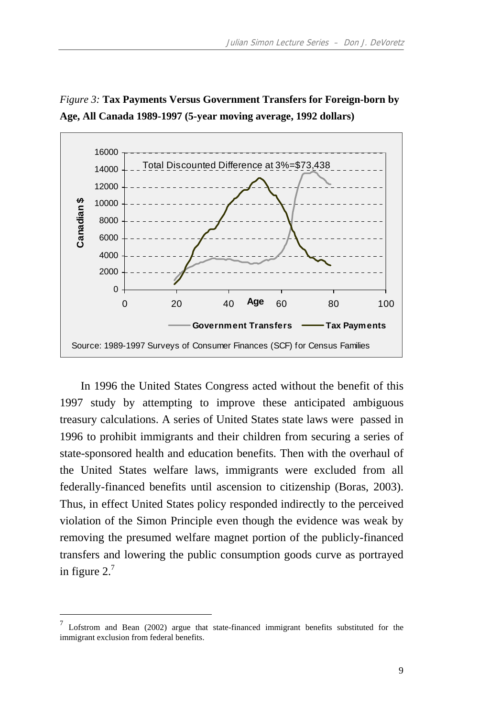



In 1996 the United States Congress acted without the benefit of this 1997 study by attempting to improve these anticipated ambiguous treasury calculations. A series of United States state laws were passed in 1996 to prohibit immigrants and their children from securing a series of state-sponsored health and education benefits. Then with the overhaul of the United States welfare laws, immigrants were excluded from all federally-financed benefits until ascension to citizenship (Boras, 2003). Thus, in effect United States policy responded indirectly to the perceived violation of the Simon Principle even though the evidence was weak by removing the presumed welfare magnet portion of the publicly-financed transfers and lowering the public consumption goods curve as portrayed in figure  $2.<sup>7</sup>$ 

Lofstrom and Bean (2002) argue that state-financed immigrant benefits substituted for the immigrant exclusion from federal benefits.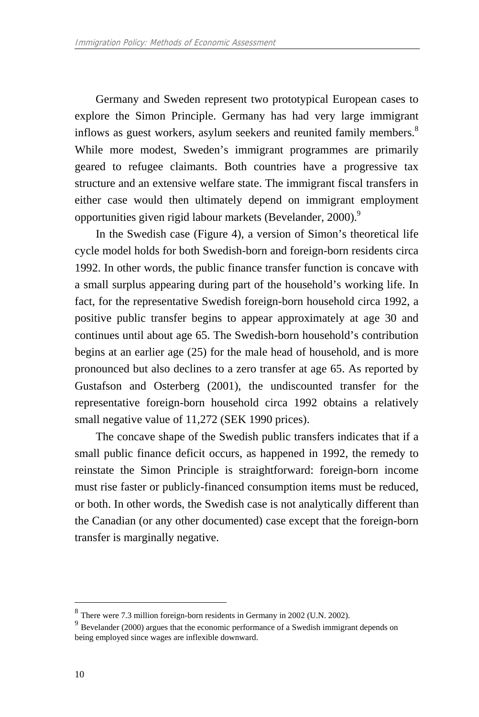Germany and Sweden represent two prototypical European cases to explore the Simon Principle. Germany has had very large immigrant inflows as guest workers, asylum seekers and reunited family members.<sup>8</sup> While more modest, Sweden's immigrant programmes are primarily geared to refugee claimants. Both countries have a progressive tax structure and an extensive welfare state. The immigrant fiscal transfers in either case would then ultimately depend on immigrant employment opportunities given rigid labour markets (Bevelander, 2000).<sup>9</sup>

In the Swedish case (Figure 4), a version of Simon's theoretical life cycle model holds for both Swedish-born and foreign-born residents circa 1992. In other words, the public finance transfer function is concave with a small surplus appearing during part of the household's working life. In fact, for the representative Swedish foreign-born household circa 1992, a positive public transfer begins to appear approximately at age 30 and continues until about age 65. The Swedish-born household's contribution begins at an earlier age (25) for the male head of household, and is more pronounced but also declines to a zero transfer at age 65. As reported by Gustafson and Osterberg (2001), the undiscounted transfer for the representative foreign-born household circa 1992 obtains a relatively small negative value of 11,272 (SEK 1990 prices).

The concave shape of the Swedish public transfers indicates that if a small public finance deficit occurs, as happened in 1992, the remedy to reinstate the Simon Principle is straightforward: foreign-born income must rise faster or publicly-financed consumption items must be reduced, or both. In other words, the Swedish case is not analytically different than the Canadian (or any other documented) case except that the foreign-born transfer is marginally negative.

<sup>8</sup> There were 7.3 million foreign-born residents in Germany in 2002 (U.N. 2002).

<sup>9</sup> Bevelander (2000) argues that the economic performance of a Swedish immigrant depends on being employed since wages are inflexible downward.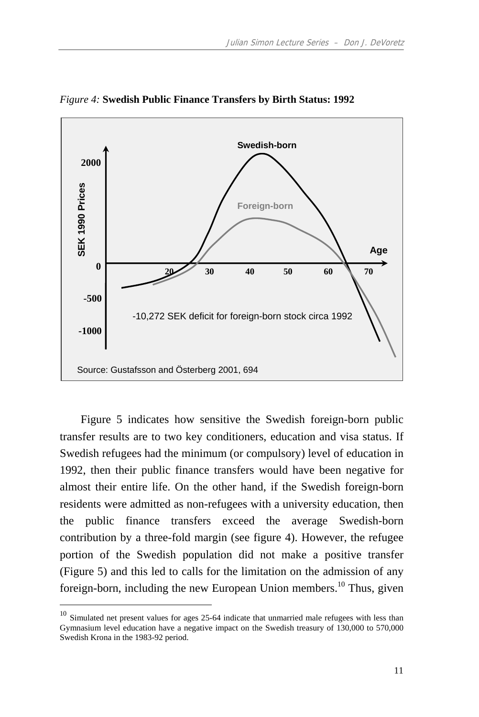

*Figure 4:* **Swedish Public Finance Transfers by Birth Status: 1992** 

Figure 5 indicates how sensitive the Swedish foreign-born public transfer results are to two key conditioners, education and visa status. If Swedish refugees had the minimum (or compulsory) level of education in 1992, then their public finance transfers would have been negative for almost their entire life. On the other hand, if the Swedish foreign-born residents were admitted as non-refugees with a university education, then the public finance transfers exceed the average Swedish-born contribution by a three-fold margin (see figure 4). However, the refugee portion of the Swedish population did not make a positive transfer (Figure 5) and this led to calls for the limitation on the admission of any foreign-born, including the new European Union members.<sup>10</sup> Thus, given

<sup>&</sup>lt;sup>10</sup> Simulated net present values for ages 25-64 indicate that unmarried male refugees with less than Gymnasium level education have a negative impact on the Swedish treasury of 130,000 to 570,000 Swedish Krona in the 1983-92 period.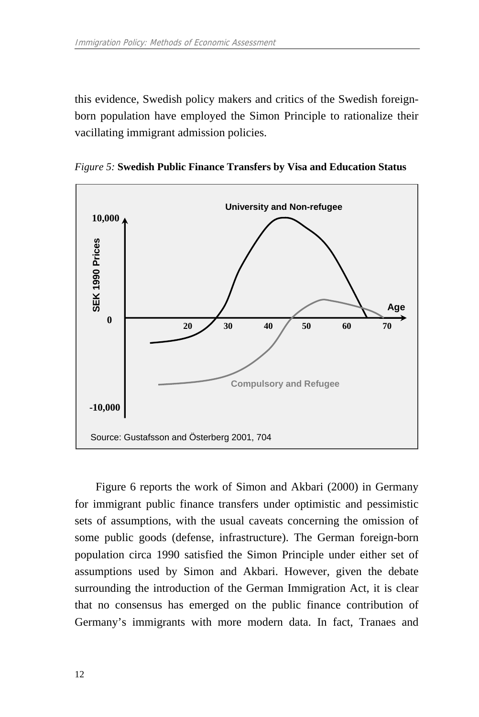this evidence, Swedish policy makers and critics of the Swedish foreignborn population have employed the Simon Principle to rationalize their vacillating immigrant admission policies.





Figure 6 reports the work of Simon and Akbari (2000) in Germany for immigrant public finance transfers under optimistic and pessimistic sets of assumptions, with the usual caveats concerning the omission of some public goods (defense, infrastructure). The German foreign-born population circa 1990 satisfied the Simon Principle under either set of assumptions used by Simon and Akbari. However, given the debate surrounding the introduction of the German Immigration Act, it is clear that no consensus has emerged on the public finance contribution of Germany's immigrants with more modern data. In fact, Tranaes and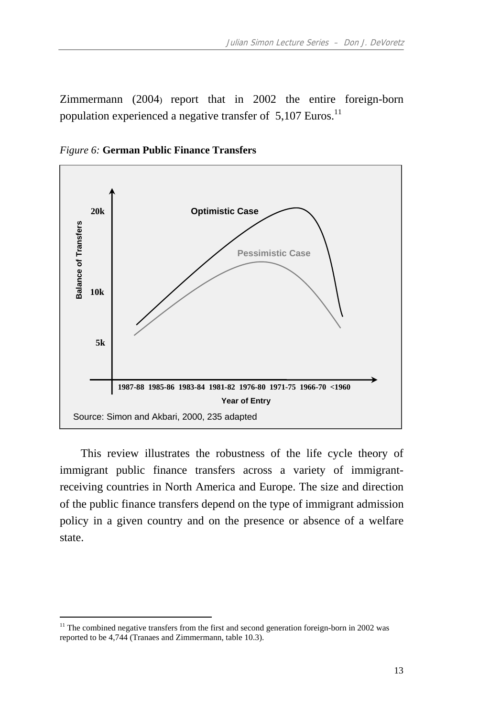Zimmermann (2004) report that in 2002 the entire foreign-born population experienced a negative transfer of 5,107 Euros.<sup>11</sup>



*Figure 6:* **German Public Finance Transfers** 

This review illustrates the robustness of the life cycle theory of immigrant public finance transfers across a variety of immigrantreceiving countries in North America and Europe. The size and direction of the public finance transfers depend on the type of immigrant admission policy in a given country and on the presence or absence of a welfare state.

<sup>&</sup>lt;sup>11</sup> The combined negative transfers from the first and second generation foreign-born in 2002 was reported to be 4,744 (Tranaes and Zimmermann, table 10.3).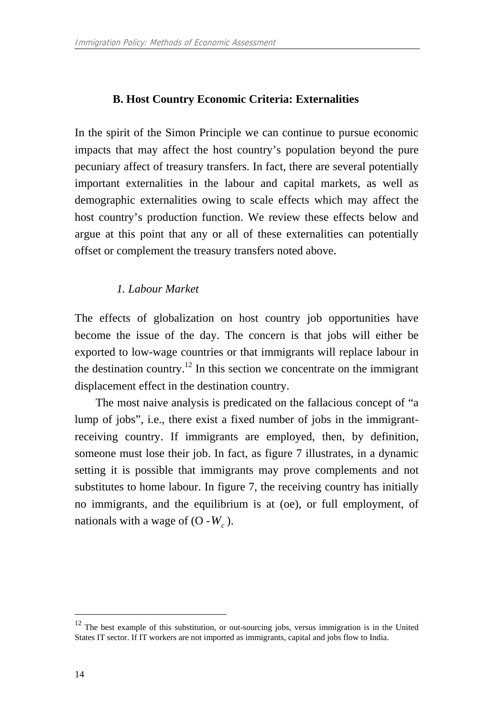# **B. Host Country Economic Criteria: Externalities**

In the spirit of the Simon Principle we can continue to pursue economic impacts that may affect the host country's population beyond the pure pecuniary affect of treasury transfers. In fact, there are several potentially important externalities in the labour and capital markets, as well as demographic externalities owing to scale effects which may affect the host country's production function. We review these effects below and argue at this point that any or all of these externalities can potentially offset or complement the treasury transfers noted above.

# *1. Labour Market*

The effects of globalization on host country job opportunities have become the issue of the day. The concern is that jobs will either be exported to low-wage countries or that immigrants will replace labour in the destination country.<sup>12</sup> In this section we concentrate on the immigrant displacement effect in the destination country.

The most naive analysis is predicated on the fallacious concept of "a lump of jobs", i.e., there exist a fixed number of jobs in the immigrantreceiving country. If immigrants are employed, then, by definition, someone must lose their job. In fact, as figure 7 illustrates, in a dynamic setting it is possible that immigrants may prove complements and not substitutes to home labour. In figure 7, the receiving country has initially no immigrants, and the equilibrium is at (oe), or full employment, of nationals with a wage of  $(O - W_c)$ .

 $12$  The best example of this substitution, or out-sourcing jobs, versus immigration is in the United States IT sector. If IT workers are not imported as immigrants, capital and jobs flow to India.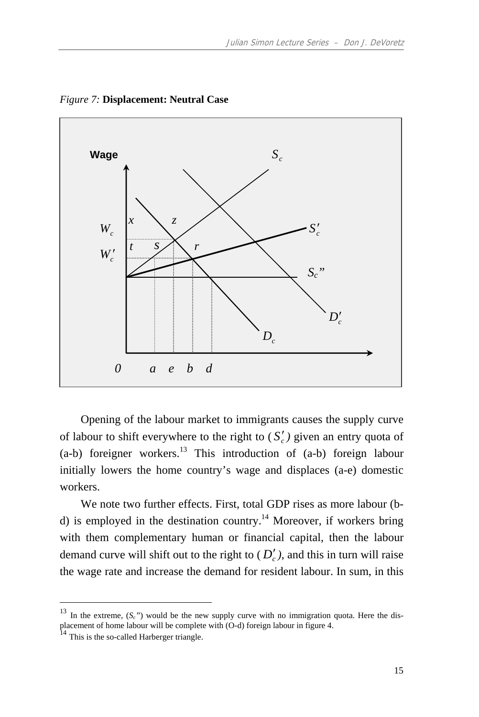

*Figure 7:* **Displacement: Neutral Case** 

Opening of the labour market to immigrants causes the supply curve of labour to shift everywhere to the right to  $(S'_c)$  given an entry quota of  $(a-b)$  foreigner workers.<sup>13</sup> This introduction of  $(a-b)$  foreign labour initially lowers the home country's wage and displaces (a-e) domestic workers.

We note two further effects. First, total GDP rises as more labour (bd) is employed in the destination country.<sup>14</sup> Moreover, if workers bring with them complementary human or financial capital, then the labour demand curve will shift out to the right to  $(D'_c)$ , and this in turn will raise the wage rate and increase the demand for resident labour. In sum, in this

<sup>&</sup>lt;sup>13</sup> In the extreme,  $(S_c)$  would be the new supply curve with no immigration quota. Here the displacement of home labour will be complete with (O-d) foreign labour in figure 4.<br><sup>14</sup> This is the so-called Harberger triangle.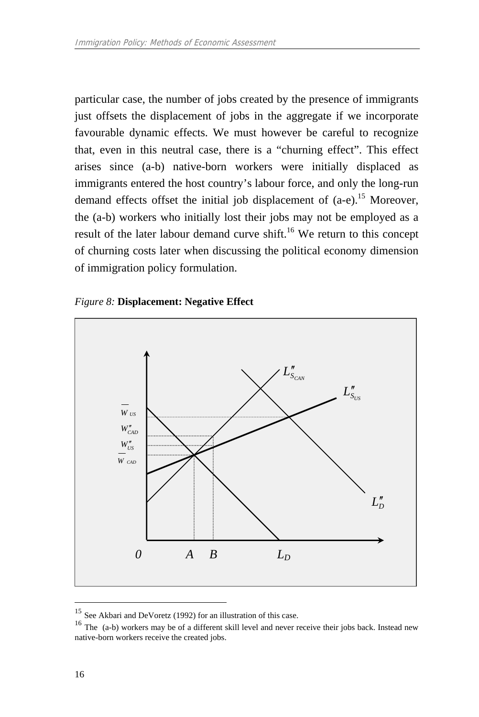particular case, the number of jobs created by the presence of immigrants just offsets the displacement of jobs in the aggregate if we incorporate favourable dynamic effects. We must however be careful to recognize that, even in this neutral case, there is a "churning effect". This effect arises since (a-b) native-born workers were initially displaced as immigrants entered the host country's labour force, and only the long-run demand effects offset the initial job displacement of (a-e).<sup>15</sup> Moreover, the (a-b) workers who initially lost their jobs may not be employed as a result of the later labour demand curve shift.<sup>16</sup> We return to this concept of churning costs later when discussing the political economy dimension of immigration policy formulation.





<sup>15</sup> See Akbari and DeVoretz (1992) for an illustration of this case.

<sup>16</sup> The (a-b) workers may be of a different skill level and never receive their jobs back. Instead new native-born workers receive the created jobs.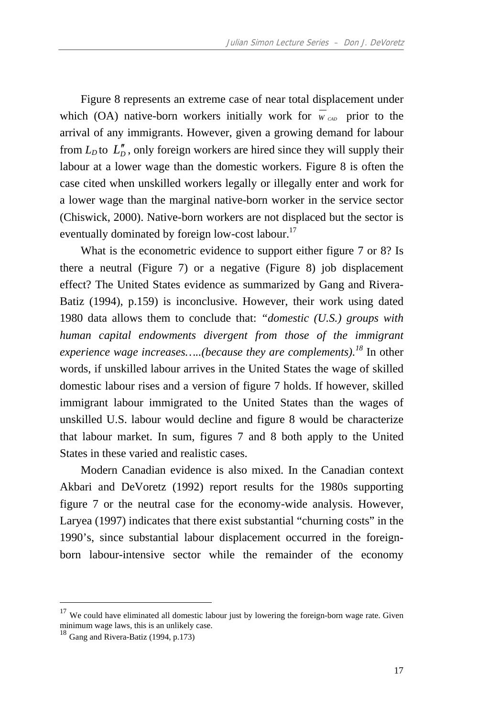Figure 8 represents an extreme case of near total displacement under which (OA) native-born workers initially work for  $\overline{w}_{cap}$  prior to the arrival of any immigrants. However, given a growing demand for labour from  $L_D$  to  $L''_D$ , only foreign workers are hired since they will supply their labour at a lower wage than the domestic workers. Figure 8 is often the case cited when unskilled workers legally or illegally enter and work for a lower wage than the marginal native-born worker in the service sector (Chiswick, 2000). Native-born workers are not displaced but the sector is eventually dominated by foreign low-cost labour.<sup>17</sup>

What is the econometric evidence to support either figure 7 or 8? Is there a neutral (Figure 7) or a negative (Figure 8) job displacement effect? The United States evidence as summarized by Gang and Rivera-Batiz (1994), p.159) is inconclusive. However, their work using dated 1980 data allows them to conclude that: *"domestic (U.S.) groups with human capital endowments divergent from those of the immigrant experience wage increases…..(because they are complements).<sup>18</sup>* In other words, if unskilled labour arrives in the United States the wage of skilled domestic labour rises and a version of figure 7 holds. If however, skilled immigrant labour immigrated to the United States than the wages of unskilled U.S. labour would decline and figure 8 would be characterize that labour market. In sum, figures 7 and 8 both apply to the United States in these varied and realistic cases.

Modern Canadian evidence is also mixed. In the Canadian context Akbari and DeVoretz (1992) report results for the 1980s supporting figure 7 or the neutral case for the economy-wide analysis. However, Laryea (1997) indicates that there exist substantial "churning costs" in the 1990's, since substantial labour displacement occurred in the foreignborn labour-intensive sector while the remainder of the economy

<sup>&</sup>lt;sup>17</sup> We could have eliminated all domestic labour just by lowering the foreign-born wage rate. Given minimum wage laws, this is an unlikely case.

<sup>18</sup> Gang and Rivera-Batiz (1994, p.173)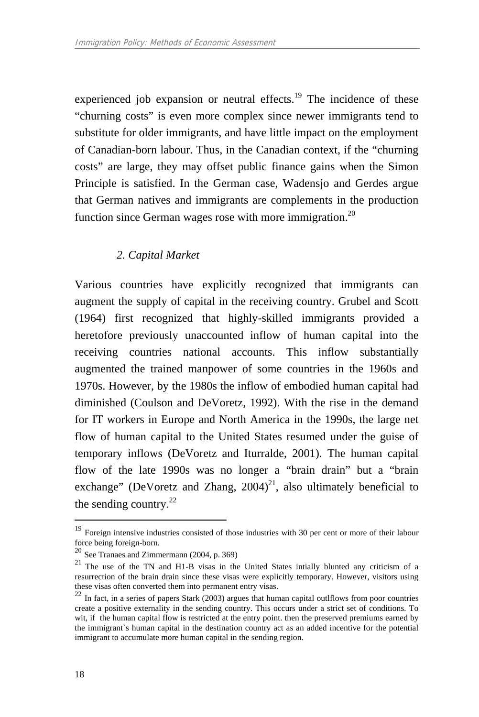experienced job expansion or neutral effects.<sup>19</sup> The incidence of these "churning costs" is even more complex since newer immigrants tend to substitute for older immigrants, and have little impact on the employment of Canadian-born labour. Thus, in the Canadian context, if the "churning costs" are large, they may offset public finance gains when the Simon Principle is satisfied. In the German case, Wadensjo and Gerdes argue that German natives and immigrants are complements in the production function since German wages rose with more immigration.<sup>20</sup>

## *2. Capital Market*

Various countries have explicitly recognized that immigrants can augment the supply of capital in the receiving country. Grubel and Scott (1964) first recognized that highly-skilled immigrants provided a heretofore previously unaccounted inflow of human capital into the receiving countries national accounts. This inflow substantially augmented the trained manpower of some countries in the 1960s and 1970s. However, by the 1980s the inflow of embodied human capital had diminished (Coulson and DeVoretz, 1992). With the rise in the demand for IT workers in Europe and North America in the 1990s, the large net flow of human capital to the United States resumed under the guise of temporary inflows (DeVoretz and Iturralde, 2001). The human capital flow of the late 1990s was no longer a "brain drain" but a "brain exchange" (DeVoretz and Zhang,  $2004$ )<sup>21</sup>, also ultimately beneficial to the sending country. $^{22}$ 

<sup>&</sup>lt;sup>19</sup> Foreign intensive industries consisted of those industries with 30 per cent or more of their labour force being foreign-born.<br> $^{20}$  See Tranaes and Zimmermann (2004, p. 369)

 $21$  The use of the TN and H1-B visas in the United States intially blunted any criticism of a resurrection of the brain drain since these visas were explicitly temporary. However, visitors using these visas often converted them into permanent entry visas.

<sup>22</sup> In fact, in a series of papers Stark (2003) argues that human capital outlflows from poor countries create a positive externality in the sending country. This occurs under a strict set of conditions. To wit, if the human capital flow is restricted at the entry point. then the preserved premiums earned by the immigrant`s human capital in the destination country act as an added incentive for the potential immigrant to accumulate more human capital in the sending region.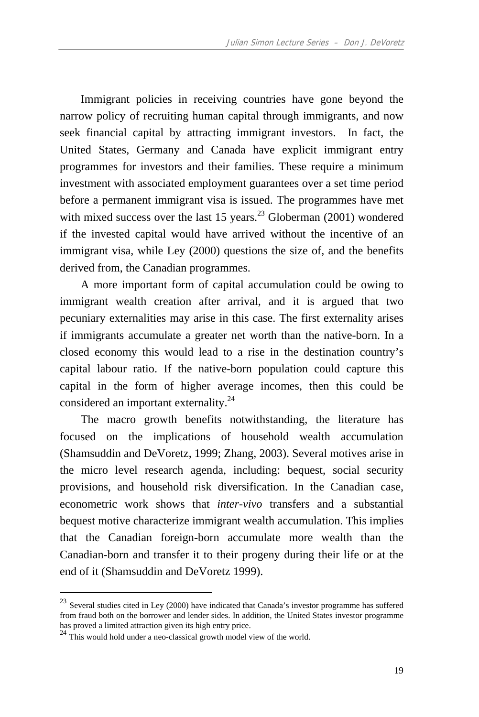Immigrant policies in receiving countries have gone beyond the narrow policy of recruiting human capital through immigrants, and now seek financial capital by attracting immigrant investors. In fact, the United States, Germany and Canada have explicit immigrant entry programmes for investors and their families. These require a minimum investment with associated employment guarantees over a set time period before a permanent immigrant visa is issued. The programmes have met with mixed success over the last 15 years. $^{23}$  Globerman (2001) wondered if the invested capital would have arrived without the incentive of an immigrant visa, while Ley (2000) questions the size of, and the benefits derived from, the Canadian programmes.

A more important form of capital accumulation could be owing to immigrant wealth creation after arrival, and it is argued that two pecuniary externalities may arise in this case. The first externality arises if immigrants accumulate a greater net worth than the native-born. In a closed economy this would lead to a rise in the destination country's capital labour ratio. If the native-born population could capture this capital in the form of higher average incomes, then this could be considered an important externality.24

The macro growth benefits notwithstanding, the literature has focused on the implications of household wealth accumulation (Shamsuddin and DeVoretz, 1999; Zhang, 2003). Several motives arise in the micro level research agenda, including: bequest, social security provisions, and household risk diversification. In the Canadian case, econometric work shows that *inter-vivo* transfers and a substantial bequest motive characterize immigrant wealth accumulation. This implies that the Canadian foreign-born accumulate more wealth than the Canadian-born and transfer it to their progeny during their life or at the end of it (Shamsuddin and DeVoretz 1999).

 $23$  Several studies cited in Ley (2000) have indicated that Canada's investor programme has suffered from fraud both on the borrower and lender sides. In addition, the United States investor programme has proved a limited attraction given its high entry price.

 $\frac{24}{}$  This would hold under a neo-classical growth model view of the world.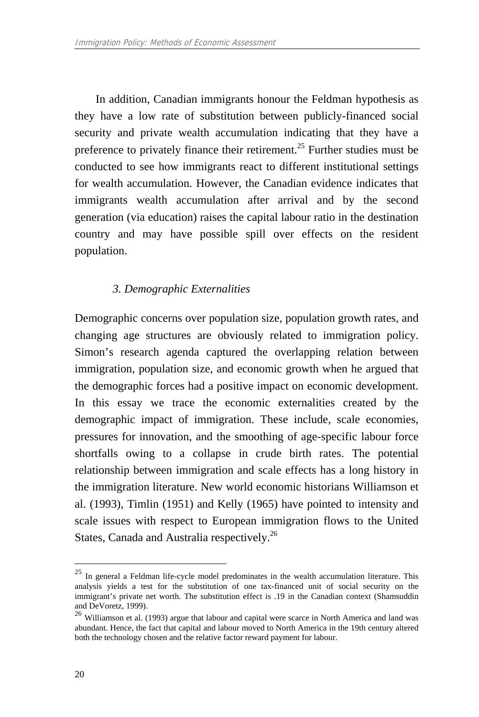In addition, Canadian immigrants honour the Feldman hypothesis as they have a low rate of substitution between publicly-financed social security and private wealth accumulation indicating that they have a preference to privately finance their retirement.<sup>25</sup> Further studies must be conducted to see how immigrants react to different institutional settings for wealth accumulation. However, the Canadian evidence indicates that immigrants wealth accumulation after arrival and by the second generation (via education) raises the capital labour ratio in the destination country and may have possible spill over effects on the resident population.

## *3. Demographic Externalities*

Demographic concerns over population size, population growth rates, and changing age structures are obviously related to immigration policy. Simon's research agenda captured the overlapping relation between immigration, population size, and economic growth when he argued that the demographic forces had a positive impact on economic development. In this essay we trace the economic externalities created by the demographic impact of immigration. These include, scale economies, pressures for innovation, and the smoothing of age-specific labour force shortfalls owing to a collapse in crude birth rates. The potential relationship between immigration and scale effects has a long history in the immigration literature. New world economic historians Williamson et al. (1993), Timlin (1951) and Kelly (1965) have pointed to intensity and scale issues with respect to European immigration flows to the United States, Canada and Australia respectively.26

<sup>25</sup> In general a Feldman life-cycle model predominates in the wealth accumulation literature. This analysis yields a test for the substitution of one tax-financed unit of social security on the immigrant's private net worth. The substitution effect is .19 in the Canadian context (Shamsuddin and DeVoretz, 1999).

<sup>26</sup> Williamson et al. (1993) argue that labour and capital were scarce in North America and land was abundant. Hence, the fact that capital and labour moved to North America in the 19th century altered both the technology chosen and the relative factor reward payment for labour.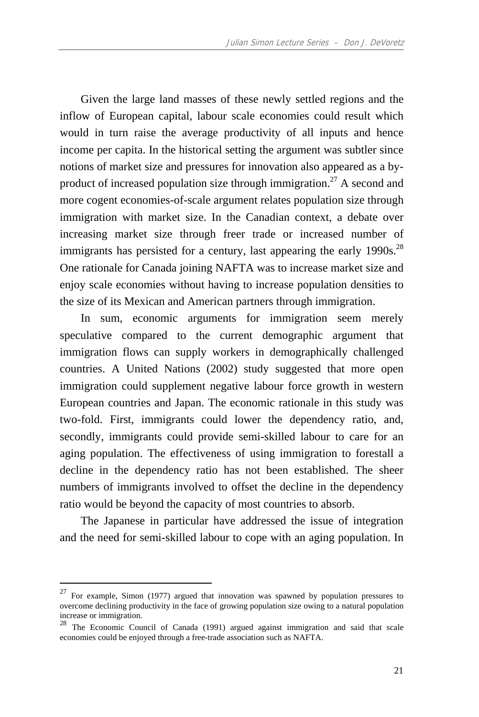Given the large land masses of these newly settled regions and the inflow of European capital, labour scale economies could result which would in turn raise the average productivity of all inputs and hence income per capita. In the historical setting the argument was subtler since notions of market size and pressures for innovation also appeared as a byproduct of increased population size through immigration.<sup>27</sup> A second and more cogent economies-of-scale argument relates population size through immigration with market size. In the Canadian context, a debate over increasing market size through freer trade or increased number of immigrants has persisted for a century, last appearing the early  $1990s$ <sup>28</sup> One rationale for Canada joining NAFTA was to increase market size and enjoy scale economies without having to increase population densities to the size of its Mexican and American partners through immigration.

In sum, economic arguments for immigration seem merely speculative compared to the current demographic argument that immigration flows can supply workers in demographically challenged countries. A United Nations (2002) study suggested that more open immigration could supplement negative labour force growth in western European countries and Japan. The economic rationale in this study was two-fold. First, immigrants could lower the dependency ratio, and, secondly, immigrants could provide semi-skilled labour to care for an aging population. The effectiveness of using immigration to forestall a decline in the dependency ratio has not been established. The sheer numbers of immigrants involved to offset the decline in the dependency ratio would be beyond the capacity of most countries to absorb.

The Japanese in particular have addressed the issue of integration and the need for semi-skilled labour to cope with an aging population. In

<sup>27</sup> For example, Simon (1977) argued that innovation was spawned by population pressures to overcome declining productivity in the face of growing population size owing to a natural population increase or immigration.

<sup>&</sup>lt;sup>28</sup> The Economic Council of Canada (1991) argued against immigration and said that scale economies could be enjoyed through a free-trade association such as NAFTA.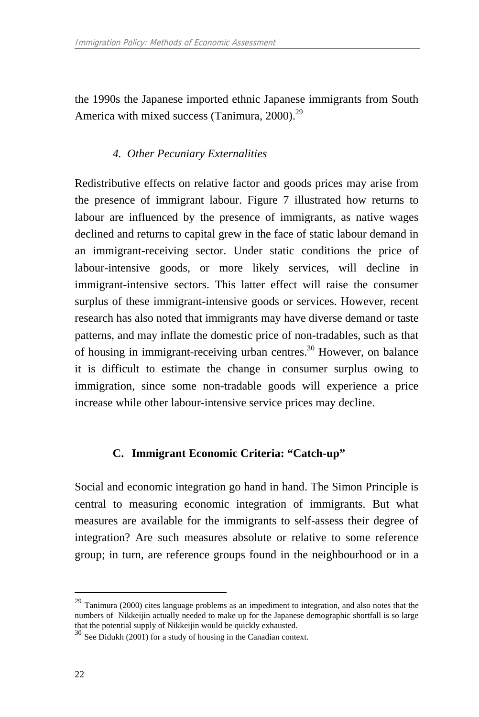the 1990s the Japanese imported ethnic Japanese immigrants from South America with mixed success (Tanimura, 2000).<sup>29</sup>

## *4. Other Pecuniary Externalities*

Redistributive effects on relative factor and goods prices may arise from the presence of immigrant labour. Figure 7 illustrated how returns to labour are influenced by the presence of immigrants, as native wages declined and returns to capital grew in the face of static labour demand in an immigrant-receiving sector. Under static conditions the price of labour-intensive goods, or more likely services, will decline in immigrant-intensive sectors. This latter effect will raise the consumer surplus of these immigrant-intensive goods or services. However, recent research has also noted that immigrants may have diverse demand or taste patterns, and may inflate the domestic price of non-tradables, such as that of housing in immigrant-receiving urban centres.<sup>30</sup> However, on balance it is difficult to estimate the change in consumer surplus owing to immigration, since some non-tradable goods will experience a price increase while other labour-intensive service prices may decline.

## **C. Immigrant Economic Criteria: "Catch-up"**

Social and economic integration go hand in hand. The Simon Principle is central to measuring economic integration of immigrants. But what measures are available for the immigrants to self-assess their degree of integration? Are such measures absolute or relative to some reference group; in turn, are reference groups found in the neighbourhood or in a

<sup>&</sup>lt;sup>29</sup> Tanimura (2000) cites language problems as an impediment to integration, and also notes that the numbers of Nikkeijin actually needed to make up for the Japanese demographic shortfall is so large that the potential supply of Nikkeijin would be quickly exhausted.

 $30$  See Didukh (2001) for a study of housing in the Canadian context.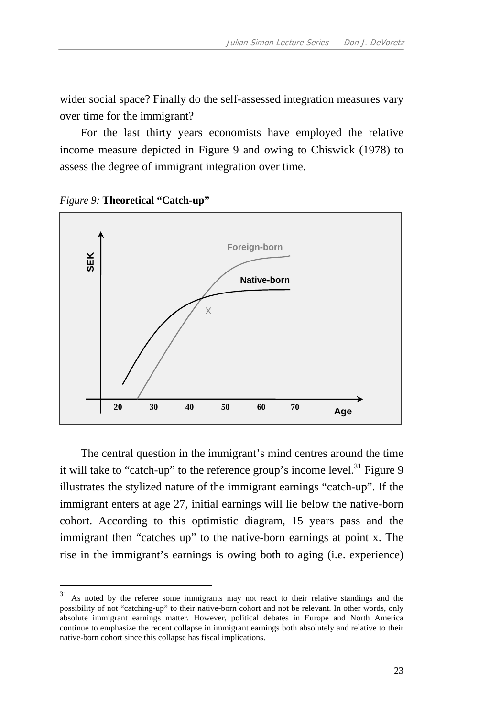wider social space? Finally do the self-assessed integration measures vary over time for the immigrant?

For the last thirty years economists have employed the relative income measure depicted in Figure 9 and owing to Chiswick (1978) to assess the degree of immigrant integration over time.



*Figure 9:* **Theoretical "Catch-up"** 

 $\overline{a}$ 

The central question in the immigrant's mind centres around the time it will take to "catch-up" to the reference group's income level.<sup>31</sup> Figure 9 illustrates the stylized nature of the immigrant earnings "catch-up". If the immigrant enters at age 27, initial earnings will lie below the native-born cohort. According to this optimistic diagram, 15 years pass and the immigrant then "catches up" to the native-born earnings at point x. The rise in the immigrant's earnings is owing both to aging (i.e. experience)

<sup>&</sup>lt;sup>31</sup> As noted by the referee some immigrants may not react to their relative standings and the possibility of not "catching-up" to their native-born cohort and not be relevant. In other words, only absolute immigrant earnings matter. However, political debates in Europe and North America continue to emphasize the recent collapse in immigrant earnings both absolutely and relative to their native-born cohort since this collapse has fiscal implications.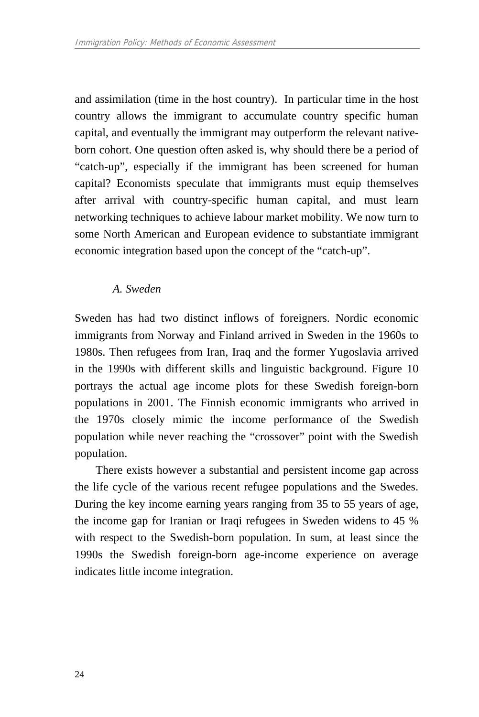and assimilation (time in the host country). In particular time in the host country allows the immigrant to accumulate country specific human capital, and eventually the immigrant may outperform the relevant nativeborn cohort. One question often asked is, why should there be a period of "catch-up", especially if the immigrant has been screened for human capital? Economists speculate that immigrants must equip themselves after arrival with country-specific human capital, and must learn networking techniques to achieve labour market mobility. We now turn to some North American and European evidence to substantiate immigrant economic integration based upon the concept of the "catch-up".

#### *A. Sweden*

Sweden has had two distinct inflows of foreigners. Nordic economic immigrants from Norway and Finland arrived in Sweden in the 1960s to 1980s. Then refugees from Iran, Iraq and the former Yugoslavia arrived in the 1990s with different skills and linguistic background. Figure 10 portrays the actual age income plots for these Swedish foreign-born populations in 2001. The Finnish economic immigrants who arrived in the 1970s closely mimic the income performance of the Swedish population while never reaching the "crossover" point with the Swedish population.

There exists however a substantial and persistent income gap across the life cycle of the various recent refugee populations and the Swedes. During the key income earning years ranging from 35 to 55 years of age, the income gap for Iranian or Iraqi refugees in Sweden widens to 45 % with respect to the Swedish-born population. In sum, at least since the 1990s the Swedish foreign-born age-income experience on average indicates little income integration.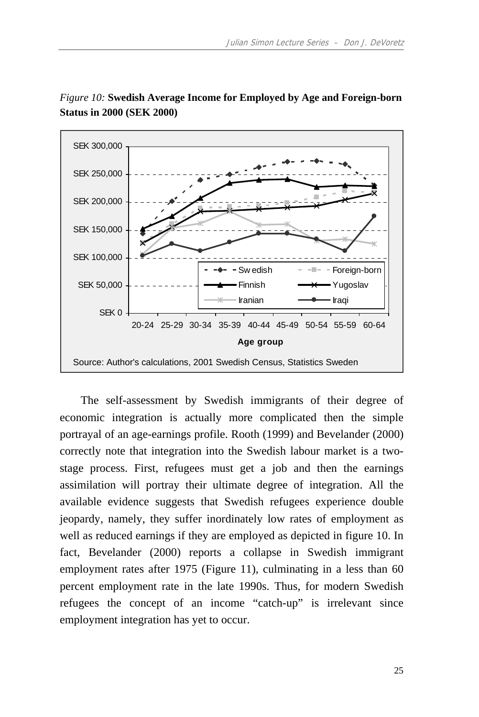

*Figure 10:* **Swedish Average Income for Employed by Age and Foreign-born Status in 2000 (SEK 2000)** 

The self-assessment by Swedish immigrants of their degree of economic integration is actually more complicated then the simple portrayal of an age-earnings profile. Rooth (1999) and Bevelander (2000) correctly note that integration into the Swedish labour market is a twostage process. First, refugees must get a job and then the earnings assimilation will portray their ultimate degree of integration. All the available evidence suggests that Swedish refugees experience double jeopardy, namely, they suffer inordinately low rates of employment as well as reduced earnings if they are employed as depicted in figure 10. In fact, Bevelander (2000) reports a collapse in Swedish immigrant employment rates after 1975 (Figure 11), culminating in a less than 60 percent employment rate in the late 1990s. Thus, for modern Swedish refugees the concept of an income "catch-up" is irrelevant since employment integration has yet to occur.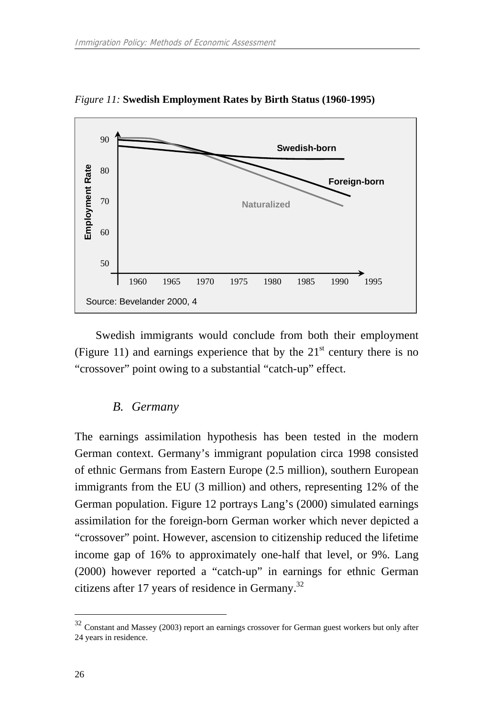

*Figure 11:* **Swedish Employment Rates by Birth Status (1960-1995)** 

Swedish immigrants would conclude from both their employment (Figure 11) and earnings experience that by the  $21<sup>st</sup>$  century there is no "crossover" point owing to a substantial "catch-up" effect.

#### *B. Germany*

The earnings assimilation hypothesis has been tested in the modern German context. Germany's immigrant population circa 1998 consisted of ethnic Germans from Eastern Europe (2.5 million), southern European immigrants from the EU (3 million) and others, representing 12% of the German population. Figure 12 portrays Lang's (2000) simulated earnings assimilation for the foreign-born German worker which never depicted a "crossover" point. However, ascension to citizenship reduced the lifetime income gap of 16% to approximately one-half that level, or 9%. Lang (2000) however reported a "catch-up" in earnings for ethnic German citizens after 17 years of residence in Germany.<sup>32</sup>

 $32$  Constant and Massey (2003) report an earnings crossover for German guest workers but only after 24 years in residence.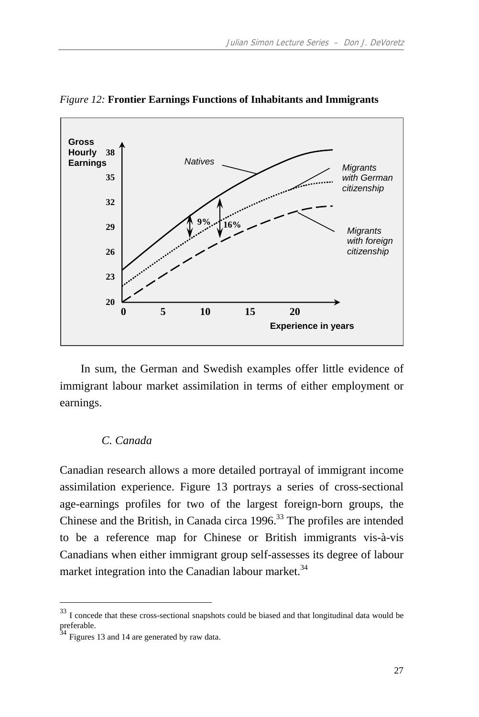

*Figure 12:* **Frontier Earnings Functions of Inhabitants and Immigrants** 

In sum, the German and Swedish examples offer little evidence of immigrant labour market assimilation in terms of either employment or earnings.

#### *C. Canada*

Canadian research allows a more detailed portrayal of immigrant income assimilation experience. Figure 13 portrays a series of cross-sectional age-earnings profiles for two of the largest foreign-born groups, the Chinese and the British, in Canada circa 1996.<sup>33</sup> The profiles are intended to be a reference map for Chinese or British immigrants vis-à-vis Canadians when either immigrant group self-assesses its degree of labour market integration into the Canadian labour market.<sup>34</sup>

 $33$  I concede that these cross-sectional snapshots could be biased and that longitudinal data would be preferable.

Figures 13 and 14 are generated by raw data.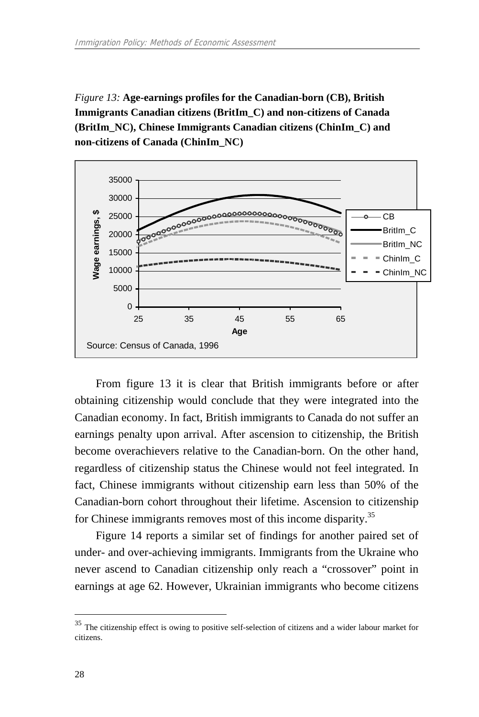*Figure 13:* **Age-earnings profiles for the Canadian-born (CB), British Immigrants Canadian citizens (BritIm\_C) and non-citizens of Canada (BritIm\_NC), Chinese Immigrants Canadian citizens (ChinIm\_C) and non-citizens of Canada (ChinIm\_NC)** 



From figure 13 it is clear that British immigrants before or after obtaining citizenship would conclude that they were integrated into the Canadian economy. In fact, British immigrants to Canada do not suffer an earnings penalty upon arrival. After ascension to citizenship, the British become overachievers relative to the Canadian-born. On the other hand, regardless of citizenship status the Chinese would not feel integrated. In fact, Chinese immigrants without citizenship earn less than 50% of the Canadian-born cohort throughout their lifetime. Ascension to citizenship for Chinese immigrants removes most of this income disparity.<sup>35</sup>

Figure 14 reports a similar set of findings for another paired set of under- and over-achieving immigrants. Immigrants from the Ukraine who never ascend to Canadian citizenship only reach a "crossover" point in earnings at age 62. However, Ukrainian immigrants who become citizens

 $35$  The citizenship effect is owing to positive self-selection of citizens and a wider labour market for citizens.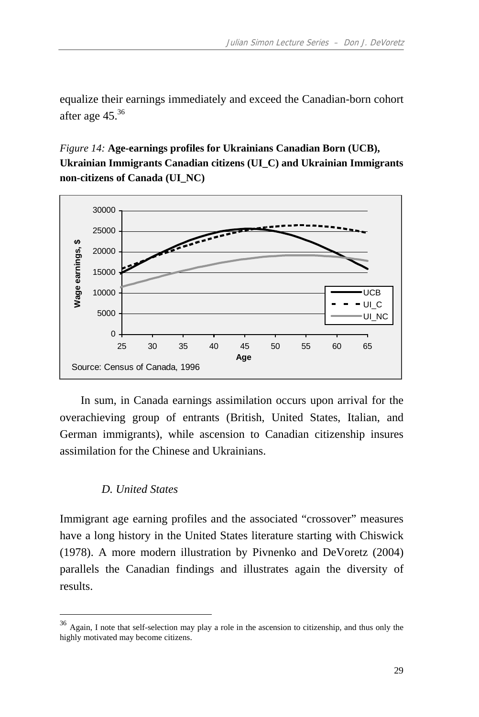equalize their earnings immediately and exceed the Canadian-born cohort after age 45.<sup>36</sup>

*Figure 14:* **Age-earnings profiles for Ukrainians Canadian Born (UCB), Ukrainian Immigrants Canadian citizens (UI\_C) and Ukrainian Immigrants non-citizens of Canada (UI\_NC)** 



In sum, in Canada earnings assimilation occurs upon arrival for the overachieving group of entrants (British, United States, Italian, and German immigrants), while ascension to Canadian citizenship insures assimilation for the Chinese and Ukrainians.

## *D. United States*

 $\overline{a}$ 

Immigrant age earning profiles and the associated "crossover" measures have a long history in the United States literature starting with Chiswick (1978). A more modern illustration by Pivnenko and DeVoretz (2004) parallels the Canadian findings and illustrates again the diversity of results.

<sup>36</sup> Again, I note that self-selection may play a role in the ascension to citizenship, and thus only the highly motivated may become citizens.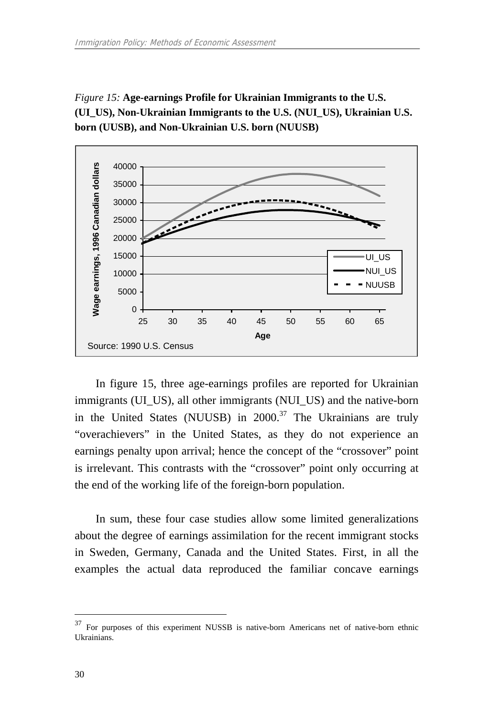*Figure 15:* **Age-earnings Profile for Ukrainian Immigrants to the U.S. (UI\_US), Non-Ukrainian Immigrants to the U.S. (NUI\_US), Ukrainian U.S. born (UUSB), and Non-Ukrainian U.S. born (NUUSB)** 



In figure 15, three age-earnings profiles are reported for Ukrainian immigrants (UI\_US), all other immigrants (NUI\_US) and the native-born in the United States (NUUSB) in  $2000$ .<sup>37</sup> The Ukrainians are truly "overachievers" in the United States, as they do not experience an earnings penalty upon arrival; hence the concept of the "crossover" point is irrelevant. This contrasts with the "crossover" point only occurring at the end of the working life of the foreign-born population.

In sum, these four case studies allow some limited generalizations about the degree of earnings assimilation for the recent immigrant stocks in Sweden, Germany, Canada and the United States. First, in all the examples the actual data reproduced the familiar concave earnings

<sup>37</sup> For purposes of this experiment NUSSB is native-born Americans net of native-born ethnic Ukrainians.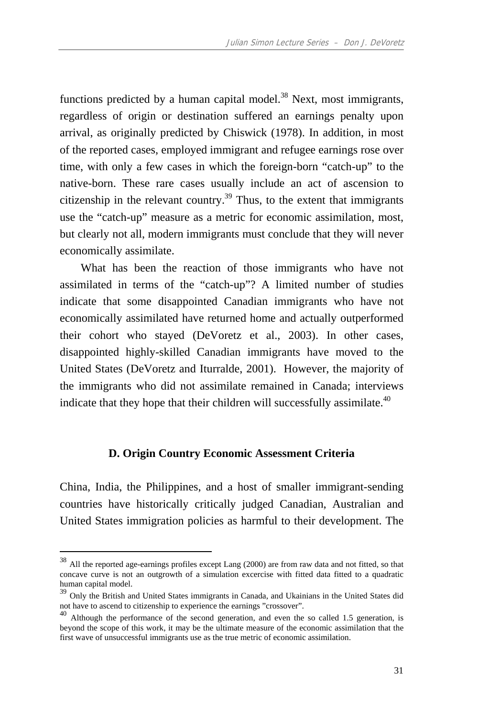functions predicted by a human capital model.<sup>38</sup> Next, most immigrants, regardless of origin or destination suffered an earnings penalty upon arrival, as originally predicted by Chiswick (1978). In addition, in most of the reported cases, employed immigrant and refugee earnings rose over time, with only a few cases in which the foreign-born "catch-up" to the native-born. These rare cases usually include an act of ascension to citizenship in the relevant country.<sup>39</sup> Thus, to the extent that immigrants use the "catch-up" measure as a metric for economic assimilation, most, but clearly not all, modern immigrants must conclude that they will never economically assimilate.

What has been the reaction of those immigrants who have not assimilated in terms of the "catch-up"? A limited number of studies indicate that some disappointed Canadian immigrants who have not economically assimilated have returned home and actually outperformed their cohort who stayed (DeVoretz et al., 2003). In other cases, disappointed highly-skilled Canadian immigrants have moved to the United States (DeVoretz and Iturralde, 2001). However, the majority of the immigrants who did not assimilate remained in Canada; interviews indicate that they hope that their children will successfully assimilate.<sup>40</sup>

#### **D. Origin Country Economic Assessment Criteria**

China, India, the Philippines, and a host of smaller immigrant-sending countries have historically critically judged Canadian, Australian and United States immigration policies as harmful to their development. The

 $38$  All the reported age-earnings profiles except Lang (2000) are from raw data and not fitted, so that concave curve is not an outgrowth of a simulation excercise with fitted data fitted to a quadratic human capital model.

<sup>&</sup>lt;sup>39</sup> Only the British and United States immigrants in Canada, and Ukainians in the United States did not have to ascend to citizenship to experience the earnings "crossover".<br><sup>40</sup> Although the performance of the second generation, and even the so called 1.5 generation, is

beyond the scope of this work, it may be the ultimate measure of the economic assimilation that the first wave of unsuccessful immigrants use as the true metric of economic assimilation.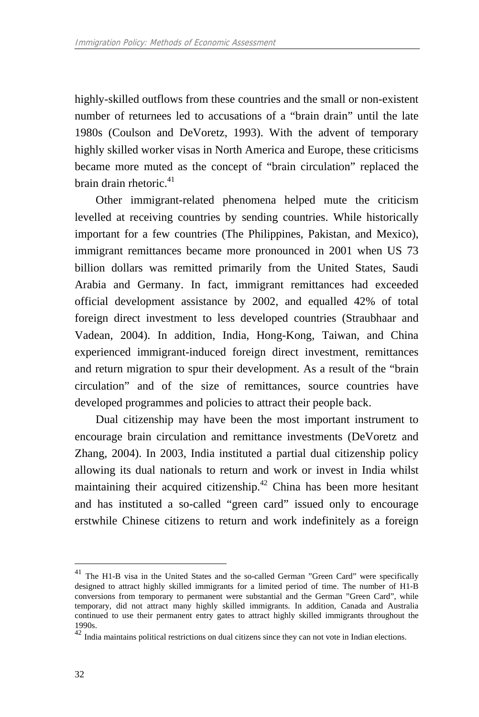highly-skilled outflows from these countries and the small or non-existent number of returnees led to accusations of a "brain drain" until the late 1980s (Coulson and DeVoretz, 1993). With the advent of temporary highly skilled worker visas in North America and Europe, these criticisms became more muted as the concept of "brain circulation" replaced the brain drain rhetoric. $41$ 

Other immigrant-related phenomena helped mute the criticism levelled at receiving countries by sending countries. While historically important for a few countries (The Philippines, Pakistan, and Mexico), immigrant remittances became more pronounced in 2001 when US 73 billion dollars was remitted primarily from the United States, Saudi Arabia and Germany. In fact, immigrant remittances had exceeded official development assistance by 2002, and equalled 42% of total foreign direct investment to less developed countries (Straubhaar and Vadean, 2004). In addition, India, Hong-Kong, Taiwan, and China experienced immigrant-induced foreign direct investment, remittances and return migration to spur their development. As a result of the "brain circulation" and of the size of remittances, source countries have developed programmes and policies to attract their people back.

Dual citizenship may have been the most important instrument to encourage brain circulation and remittance investments (DeVoretz and Zhang, 2004). In 2003, India instituted a partial dual citizenship policy allowing its dual nationals to return and work or invest in India whilst maintaining their acquired citizenship.<sup>42</sup> China has been more hesitant and has instituted a so-called "green card" issued only to encourage erstwhile Chinese citizens to return and work indefinitely as a foreign

<sup>&</sup>lt;sup>41</sup> The H1-B visa in the United States and the so-called German "Green Card" were specifically designed to attract highly skilled immigrants for a limited period of time. The number of H1-B conversions from temporary to permanent were substantial and the German "Green Card", while temporary, did not attract many highly skilled immigrants. In addition, Canada and Australia continued to use their permanent entry gates to attract highly skilled immigrants throughout the 1990s.

<sup>42&</sup>lt;br>India maintains political restrictions on dual citizens since they can not vote in Indian elections.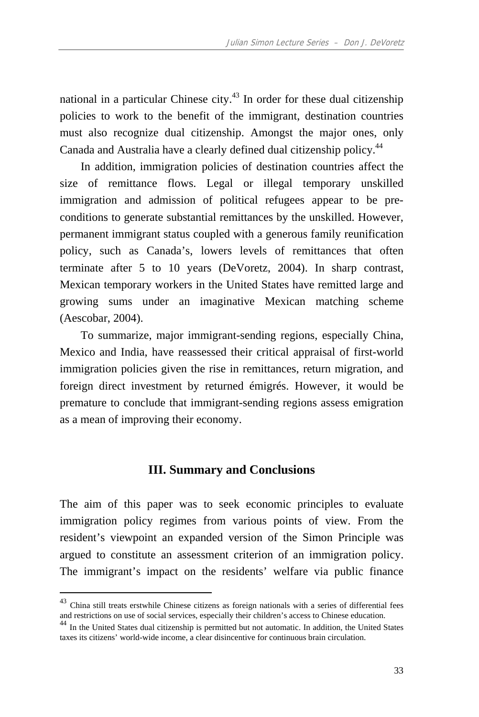national in a particular Chinese city. $43$  In order for these dual citizenship policies to work to the benefit of the immigrant, destination countries must also recognize dual citizenship. Amongst the major ones, only Canada and Australia have a clearly defined dual citizenship policy.44

In addition, immigration policies of destination countries affect the size of remittance flows. Legal or illegal temporary unskilled immigration and admission of political refugees appear to be preconditions to generate substantial remittances by the unskilled. However, permanent immigrant status coupled with a generous family reunification policy, such as Canada's, lowers levels of remittances that often terminate after 5 to 10 years (DeVoretz, 2004). In sharp contrast, Mexican temporary workers in the United States have remitted large and growing sums under an imaginative Mexican matching scheme (Aescobar, 2004).

To summarize, major immigrant-sending regions, especially China, Mexico and India, have reassessed their critical appraisal of first-world immigration policies given the rise in remittances, return migration, and foreign direct investment by returned émigrés. However, it would be premature to conclude that immigrant-sending regions assess emigration as a mean of improving their economy.

#### **III. Summary and Conclusions**

The aim of this paper was to seek economic principles to evaluate immigration policy regimes from various points of view. From the resident's viewpoint an expanded version of the Simon Principle was argued to constitute an assessment criterion of an immigration policy. The immigrant's impact on the residents' welfare via public finance

 $^{43}$  China still treats erstwhile Chinese citizens as foreign nationals with a series of differential fees and restrictions on use of social services, especially their children's access to Chinese education.

<sup>&</sup>lt;sup>44</sup> In the United States dual citizenship is permitted but not automatic. In addition, the United States taxes its citizens' world-wide income, a clear disincentive for continuous brain circulation.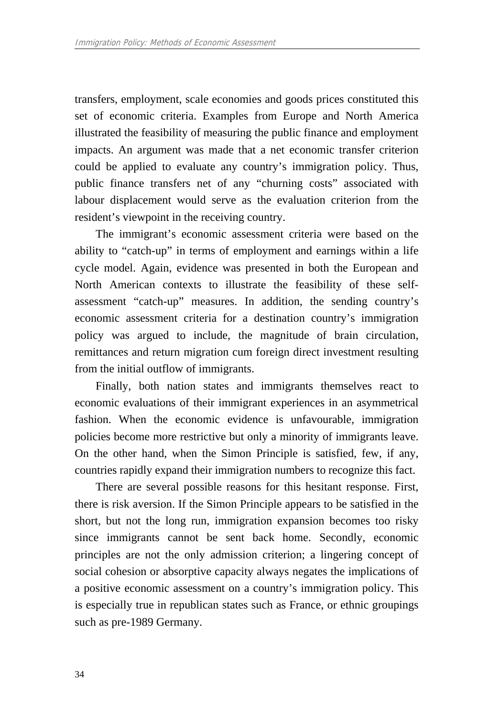transfers, employment, scale economies and goods prices constituted this set of economic criteria. Examples from Europe and North America illustrated the feasibility of measuring the public finance and employment impacts. An argument was made that a net economic transfer criterion could be applied to evaluate any country's immigration policy. Thus, public finance transfers net of any "churning costs" associated with labour displacement would serve as the evaluation criterion from the resident's viewpoint in the receiving country.

The immigrant's economic assessment criteria were based on the ability to "catch-up" in terms of employment and earnings within a life cycle model. Again, evidence was presented in both the European and North American contexts to illustrate the feasibility of these selfassessment "catch-up" measures. In addition, the sending country's economic assessment criteria for a destination country's immigration policy was argued to include, the magnitude of brain circulation, remittances and return migration cum foreign direct investment resulting from the initial outflow of immigrants.

Finally, both nation states and immigrants themselves react to economic evaluations of their immigrant experiences in an asymmetrical fashion. When the economic evidence is unfavourable, immigration policies become more restrictive but only a minority of immigrants leave. On the other hand, when the Simon Principle is satisfied, few, if any, countries rapidly expand their immigration numbers to recognize this fact.

There are several possible reasons for this hesitant response. First, there is risk aversion. If the Simon Principle appears to be satisfied in the short, but not the long run, immigration expansion becomes too risky since immigrants cannot be sent back home. Secondly, economic principles are not the only admission criterion; a lingering concept of social cohesion or absorptive capacity always negates the implications of a positive economic assessment on a country's immigration policy. This is especially true in republican states such as France, or ethnic groupings such as pre-1989 Germany.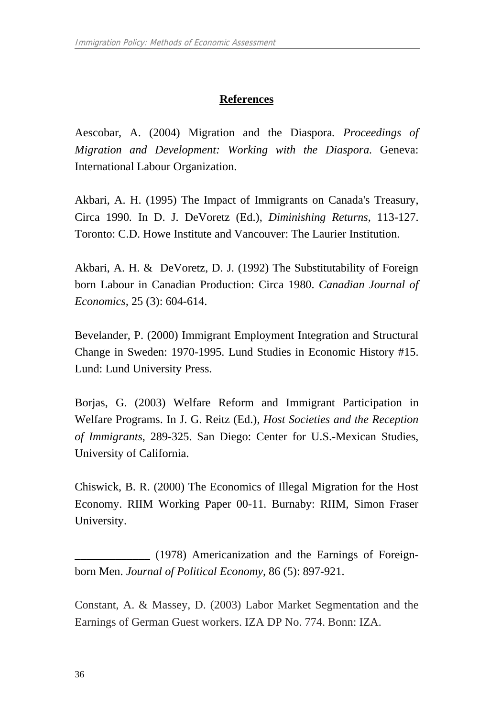## **References**

Aescobar, A. (2004) Migration and the Diaspora*. Proceedings of Migration and Development: Working with the Diaspora.* Geneva: International Labour Organization.

Akbari, A. H. (1995) The Impact of Immigrants on Canada's Treasury, Circa 1990*.* In D. J. DeVoretz (Ed.), *Diminishing Returns*, 113-127. Toronto: C.D. Howe Institute and Vancouver: The Laurier Institution.

Akbari, A. H. & DeVoretz, D. J. (1992) The Substitutability of Foreign born Labour in Canadian Production: Circa 1980. *Canadian Journal of Economics,* 25 (3): 604-614.

Bevelander, P. (2000) Immigrant Employment Integration and Structural Change in Sweden: 1970-1995. Lund Studies in Economic History #15. Lund: Lund University Press.

Borjas, G. (2003) Welfare Reform and Immigrant Participation in Welfare Programs. In J. G. Reitz (Ed.), *Host Societies and the Reception of Immigrants*, 289-325. San Diego: Center for U.S.-Mexican Studies, University of California.

Chiswick, B. R. (2000) The Economics of Illegal Migration for the Host Economy. RIIM Working Paper 00-11. Burnaby: RIIM, Simon Fraser University.

\_\_\_\_\_\_\_\_\_\_\_\_\_ (1978) Americanization and the Earnings of Foreignborn Men. *Journal of Political Economy,* 86 (5): 897-921.

Constant, A. & Massey, D. (2003) Labor Market Segmentation and the Earnings of German Guest workers. IZA DP No. 774. Bonn: IZA.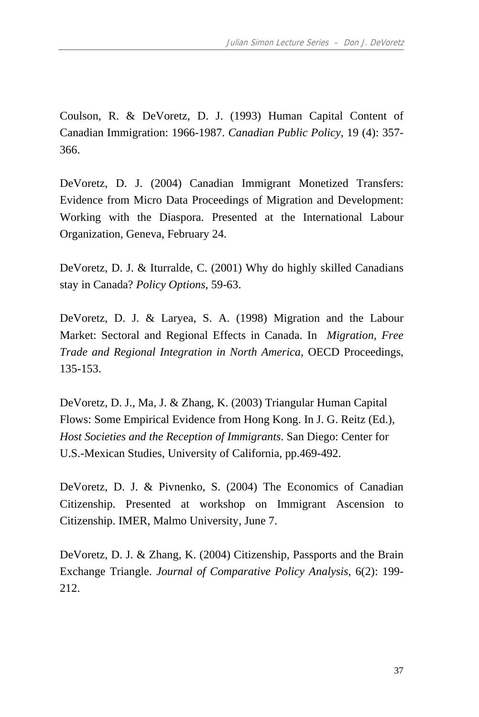Coulson, R. & DeVoretz, D. J. (1993) Human Capital Content of Canadian Immigration: 1966-1987. *Canadian Public Policy,* 19 (4): 357- 366.

DeVoretz, D. J. (2004) Canadian Immigrant Monetized Transfers: Evidence from Micro Data Proceedings of Migration and Development: Working with the Diaspora. Presented at the International Labour Organization, Geneva, February 24.

DeVoretz, D. J. & Iturralde, C. (2001) Why do highly skilled Canadians stay in Canada? *Policy Options,* 59-63.

DeVoretz, D. J. & Laryea, S. A. (1998) Migration and the Labour Market: Sectoral and Regional Effects in Canada. In *Migration, Free Trade and Regional Integration in North America,* OECD Proceedings, 135-153.

DeVoretz, D. J., Ma, J. & Zhang, K. (2003) Triangular Human Capital Flows: Some Empirical Evidence from Hong Kong. In J. G. Reitz (Ed.), *Host Societies and the Reception of Immigrants*. San Diego: Center for U.S.-Mexican Studies, University of California, pp.469-492.

DeVoretz, D. J. & Pivnenko, S. (2004) The Economics of Canadian Citizenship. Presented at workshop on Immigrant Ascension to Citizenship. IMER, Malmo University, June 7.

DeVoretz, D. J. & Zhang, K. (2004) Citizenship, Passports and the Brain Exchange Triangle. *Journal of Comparative Policy Analysis*, 6(2): 199- 212.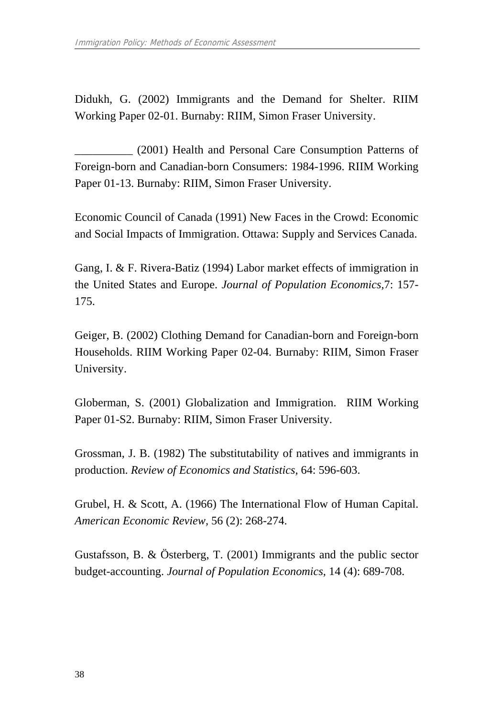Didukh, G. (2002) Immigrants and the Demand for Shelter. RIIM Working Paper 02-01. Burnaby: RIIM, Simon Fraser University.

\_\_\_\_\_\_\_\_\_\_ (2001) Health and Personal Care Consumption Patterns of Foreign-born and Canadian-born Consumers: 1984-1996. RIIM Working Paper 01-13. Burnaby: RIIM, Simon Fraser University.

Economic Council of Canada (1991) New Faces in the Crowd: Economic and Social Impacts of Immigration. Ottawa: Supply and Services Canada.

Gang, I. & F. Rivera-Batiz (1994) Labor market effects of immigration in the United States and Europe. *Journal of Population Economics,*7: 157- 175.

Geiger, B. (2002) Clothing Demand for Canadian-born and Foreign-born Households. RIIM Working Paper 02-04. Burnaby: RIIM, Simon Fraser University.

Globerman, S. (2001) Globalization and Immigration. RIIM Working Paper 01-S2. Burnaby: RIIM, Simon Fraser University.

Grossman, J. B. (1982) The substitutability of natives and immigrants in production. *Review of Economics and Statistics,* 64: 596-603.

Grubel, H. & Scott, A. (1966) The International Flow of Human Capital. *American Economic Review,* 56 (2): 268-274.

Gustafsson, B. & Österberg, T. (2001) Immigrants and the public sector budget-accounting. *Journal of Population Economics,* 14 (4): 689-708.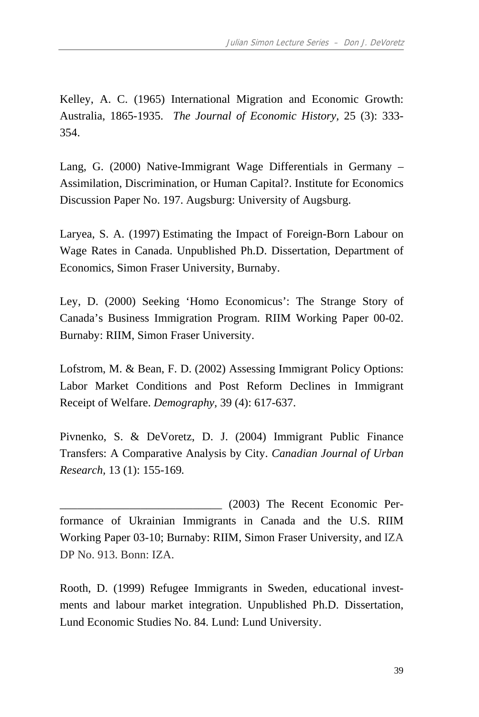Kelley, A. C. (1965) International Migration and Economic Growth: Australia, 1865-1935. *The Journal of Economic History,* 25 (3): 333- 354.

Lang, G. (2000) Native-Immigrant Wage Differentials in Germany – Assimilation, Discrimination, or Human Capital?. Institute for Economics Discussion Paper No. 197. Augsburg: University of Augsburg.

Laryea, S. A. (1997) Estimating the Impact of Foreign-Born Labour on Wage Rates in Canada. Unpublished Ph.D. Dissertation, Department of Economics, Simon Fraser University, Burnaby.

Ley, D. (2000) Seeking 'Homo Economicus': The Strange Story of Canada's Business Immigration Program. RIIM Working Paper 00-02. Burnaby: RIIM, Simon Fraser University.

Lofstrom, M. & Bean, F. D. (2002) Assessing Immigrant Policy Options: Labor Market Conditions and Post Reform Declines in Immigrant Receipt of Welfare. *Demography,* 39 (4): 617-637.

Pivnenko, S. & DeVoretz, D. J. (2004) Immigrant Public Finance Transfers: A Comparative Analysis by City. *Canadian Journal of Urban Research,* 13 (1): 155-169*.* 

\_\_\_\_\_\_\_\_\_\_\_\_\_\_\_\_\_\_\_\_\_\_\_\_\_\_\_\_ (2003) The Recent Economic Performance of Ukrainian Immigrants in Canada and the U.S. RIIM Working Paper 03-10; Burnaby: RIIM, Simon Fraser University, and IZA DP No. 913. Bonn: IZA.

Rooth, D. (1999) Refugee Immigrants in Sweden, educational investments and labour market integration. Unpublished Ph.D. Dissertation, Lund Economic Studies No. 84. Lund: Lund University.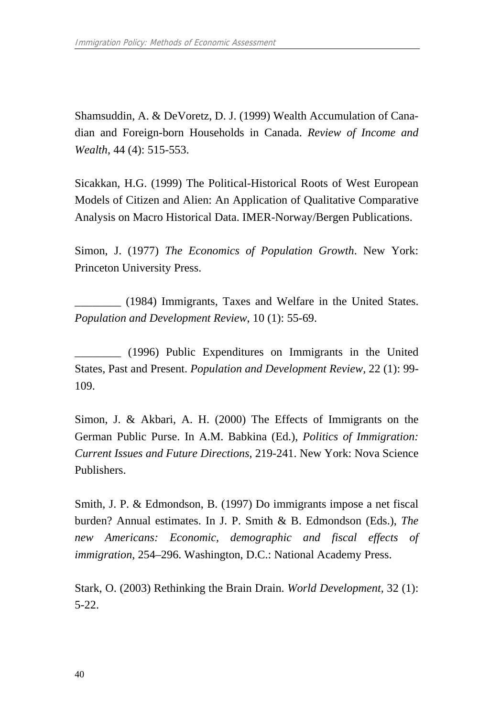Shamsuddin, A. & DeVoretz, D. J. (1999) Wealth Accumulation of Canadian and Foreign-born Households in Canada. *Review of Income and Wealth*, 44 (4): 515-553.

Sicakkan, H.G. (1999) The Political-Historical Roots of West European Models of Citizen and Alien: An Application of Qualitative Comparative Analysis on Macro Historical Data. IMER-Norway/Bergen Publications.

Simon, J. (1977) *The Economics of Population Growth*. New York: Princeton University Press.

\_\_\_\_\_\_\_\_ (1984) Immigrants, Taxes and Welfare in the United States. *Population and Development Review*, 10 (1): 55-69.

\_\_\_\_\_\_\_\_ (1996) Public Expenditures on Immigrants in the United States, Past and Present. *Population and Development Review,* 22 (1): 99- 109.

Simon, J. & Akbari, A. H. (2000) The Effects of Immigrants on the German Public Purse. In A.M. Babkina (Ed.), *Politics of Immigration: Current Issues and Future Directions*, 219-241. New York: Nova Science Publishers.

Smith, J. P. & Edmondson, B. (1997) Do immigrants impose a net fiscal burden? Annual estimates. In J. P. Smith & B. Edmondson (Eds.), *The new Americans: Economic, demographic and fiscal effects of immigration*, 254–296. Washington, D.C.: National Academy Press.

Stark, O. (2003) Rethinking the Brain Drain. *World Development,* 32 (1): 5-22.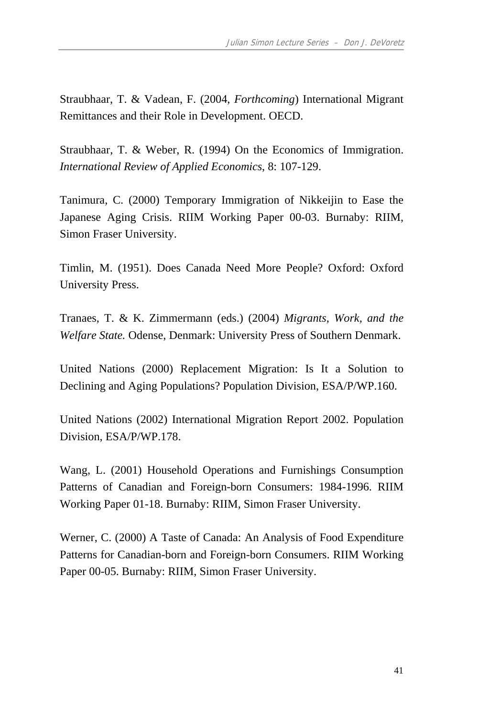Straubhaar, T. & Vadean, F. (2004, *Forthcoming*) International Migrant Remittances and their Role in Development. OECD.

Straubhaar, T. & Weber, R. (1994) On the Economics of Immigration. *International Review of Applied Economics*, 8: 107-129.

Tanimura, C. (2000) Temporary Immigration of Nikkeijin to Ease the Japanese Aging Crisis. RIIM Working Paper 00-03. Burnaby: RIIM, Simon Fraser University.

Timlin, M. (1951). Does Canada Need More People? Oxford: Oxford University Press.

Tranaes, T. & K. Zimmermann (eds.) (2004) *Migrants, Work, and the Welfare State.* Odense, Denmark: University Press of Southern Denmark.

United Nations (2000) Replacement Migration: Is It a Solution to Declining and Aging Populations? Population Division, ESA/P/WP.160.

United Nations (2002) International Migration Report 2002. Population Division, ESA/P/WP.178.

Wang, L. (2001) Household Operations and Furnishings Consumption Patterns of Canadian and Foreign-born Consumers: 1984-1996. RIIM Working Paper 01-18. Burnaby: RIIM, Simon Fraser University.

Werner, C. (2000) A Taste of Canada: An Analysis of Food Expenditure Patterns for Canadian-born and Foreign-born Consumers. RIIM Working Paper 00-05. Burnaby: RIIM, Simon Fraser University.